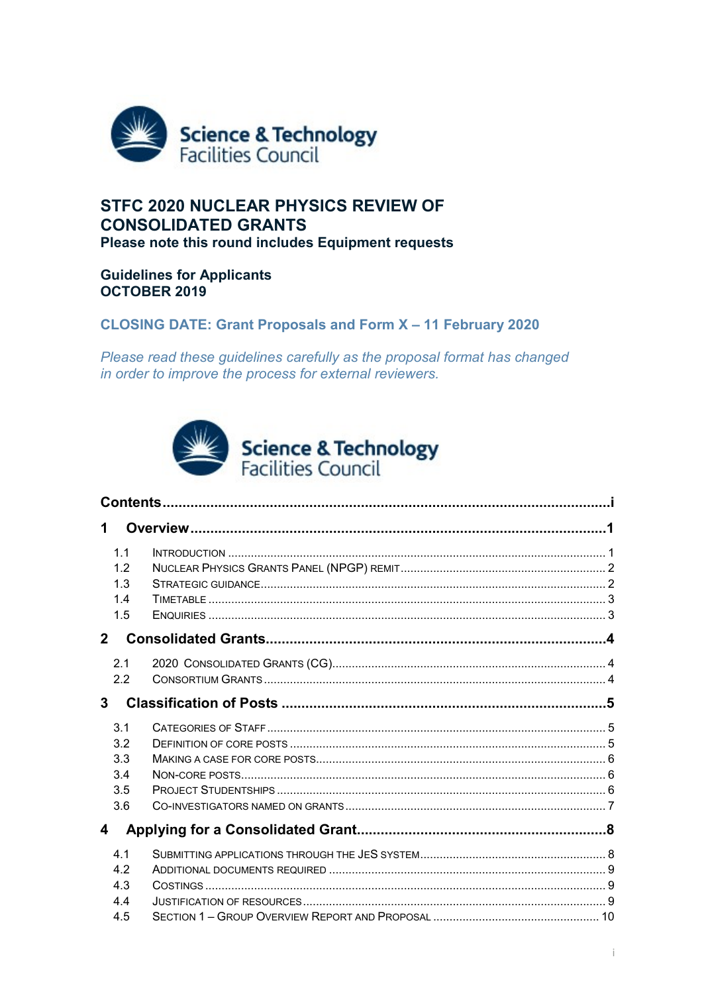<span id="page-0-0"></span>

# **STFC 2020 NUCLEAR PHYSICS REVIEW OF CONSOLIDATED GRANTS** Please note this round includes Equipment requests

# **Guidelines for Applicants OCTOBER 2019**

# **CLOSING DATE: Grant Proposals and Form X-11 February 2020**

Please read these guidelines carefully as the proposal format has changed in order to improve the process for external reviewers.



| 1.1<br>1.2<br>1.3<br>1.4<br>1.5        |  |  |  |  |  |
|----------------------------------------|--|--|--|--|--|
| $\mathbf{2}$                           |  |  |  |  |  |
| 2.1<br>2.2<br>$\mathbf{3}$             |  |  |  |  |  |
| 3.1<br>3.2<br>3.3<br>3.4<br>3.5<br>3.6 |  |  |  |  |  |
| 4                                      |  |  |  |  |  |
| 4.1<br>4.2<br>4.3                      |  |  |  |  |  |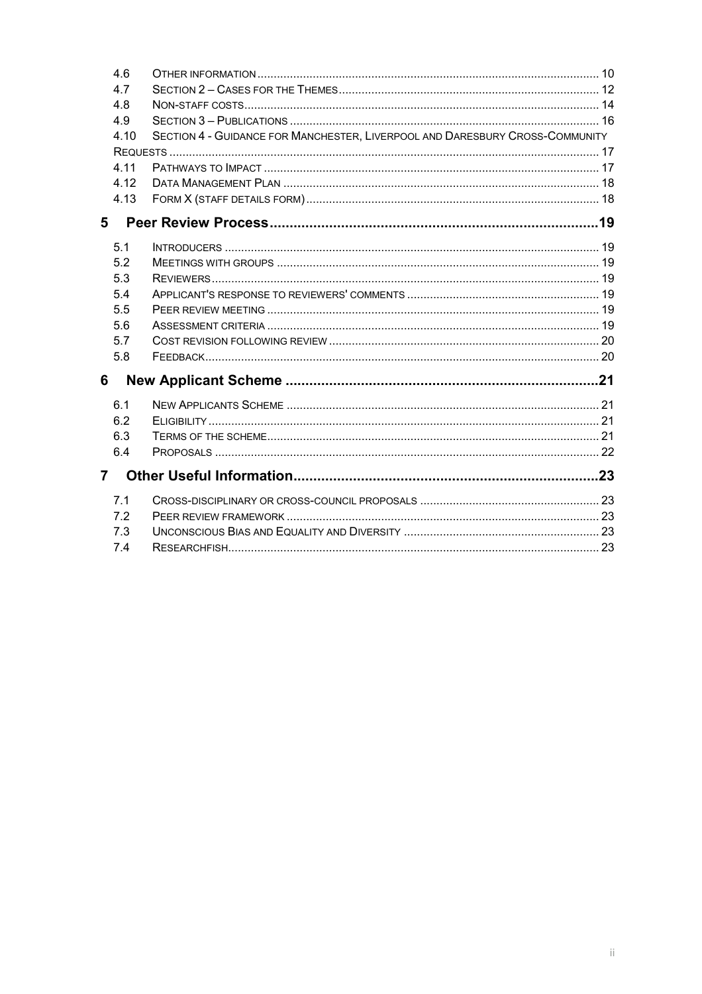| 4.6            |                                                                              |  |
|----------------|------------------------------------------------------------------------------|--|
| 4.7            |                                                                              |  |
| 4.8            |                                                                              |  |
| 4.9            |                                                                              |  |
| 4.10           | SECTION 4 - GUIDANCE FOR MANCHESTER, LIVERPOOL AND DARESBURY CROSS-COMMUNITY |  |
|                |                                                                              |  |
| 4.11           |                                                                              |  |
| 4.12           |                                                                              |  |
| 4.13           |                                                                              |  |
| 5              |                                                                              |  |
| 5.1            |                                                                              |  |
| 5.2            |                                                                              |  |
| 5.3            |                                                                              |  |
| 5.4            |                                                                              |  |
| 5.5            |                                                                              |  |
| 5.6            |                                                                              |  |
| 5.7            |                                                                              |  |
| 5.8            |                                                                              |  |
| 6              |                                                                              |  |
| 6.1            |                                                                              |  |
| 6.2            |                                                                              |  |
| 6.3            |                                                                              |  |
| 6.4            |                                                                              |  |
| $\overline{7}$ |                                                                              |  |
| 7.1            |                                                                              |  |
| 7.2            |                                                                              |  |
| 7.3            |                                                                              |  |
| 7.4            |                                                                              |  |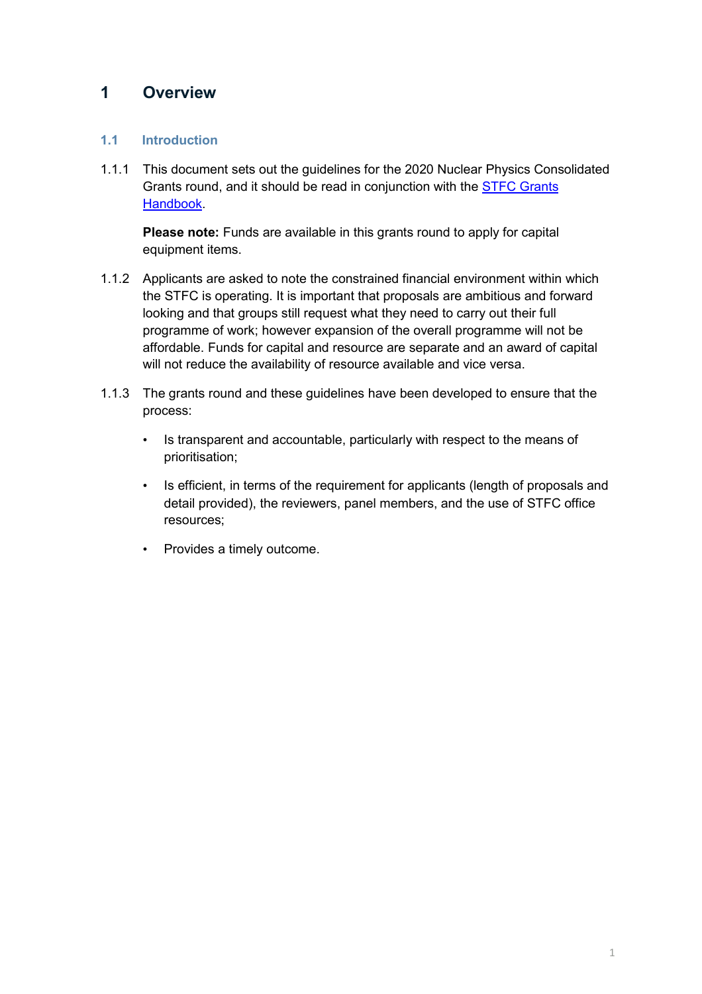# <span id="page-2-0"></span>**1 Overview**

## <span id="page-2-1"></span>**1.1 Introduction**

1.1.1 This document sets out the guidelines for the 2020 Nuclear Physics Consolidated Grants round, and it should be read in conjunction with the STFC [Grants](https://stfc.ukri.org/research-grants-handbook/)  [Handbook.](https://stfc.ukri.org/research-grants-handbook/)

**Please note:** Funds are available in this grants round to apply for capital equipment items.

- 1.1.2 Applicants are asked to note the constrained financial environment within which the STFC is operating. It is important that proposals are ambitious and forward looking and that groups still request what they need to carry out their full programme of work; however expansion of the overall programme will not be affordable. Funds for capital and resource are separate and an award of capital will not reduce the availability of resource available and vice versa.
- 1.1.3 The grants round and these guidelines have been developed to ensure that the process:
	- Is transparent and accountable, particularly with respect to the means of prioritisation;
	- Is efficient, in terms of the requirement for applicants (length of proposals and detail provided), the reviewers, panel members, and the use of STFC office resources;
	- Provides a timely outcome.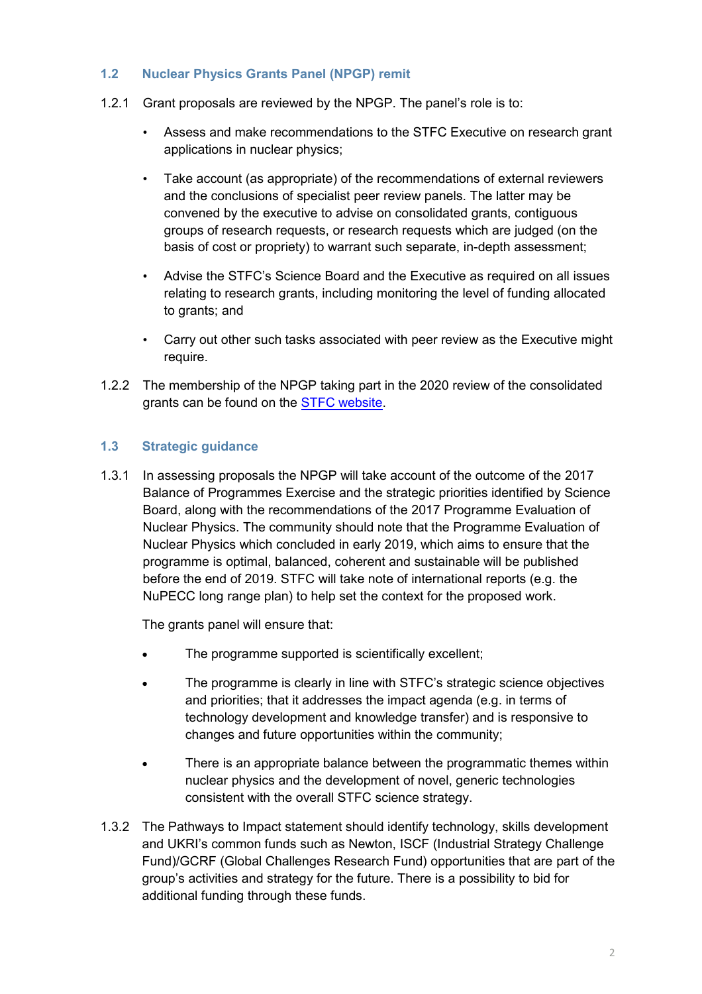## <span id="page-3-0"></span>**1.2 Nuclear Physics Grants Panel (NPGP) remit**

- 1.2.1 Grant proposals are reviewed by the NPGP. The panel's role is to:
	- Assess and make recommendations to the STFC Executive on research grant applications in nuclear physics;
	- Take account (as appropriate) of the recommendations of external reviewers and the conclusions of specialist peer review panels. The latter may be convened by the executive to advise on consolidated grants, contiguous groups of research requests, or research requests which are judged (on the basis of cost or propriety) to warrant such separate, in-depth assessment;
	- Advise the STFC's Science Board and the Executive as required on all issues relating to research grants, including monitoring the level of funding allocated to grants; and
	- Carry out other such tasks associated with peer review as the Executive might require.
- 1.2.2 The membership of the NPGP taking part in the 2020 review of the consolidated grants can be found on the [STFC website.](https://stfc.ukri.org/about-us/how-we-are-governed/advisory-boards/nuclear-physics-grants-panel/)

## <span id="page-3-1"></span>**1.3 Strategic guidance**

1.3.1 In assessing proposals the NPGP will take account of the outcome of the 2017 Balance of Programmes Exercise and the strategic priorities identified by Science Board, along with the recommendations of the 2017 Programme Evaluation of Nuclear Physics. The community should note that the Programme Evaluation of Nuclear Physics which concluded in early 2019, which aims to ensure that the programme is optimal, balanced, coherent and sustainable will be published before the end of 2019. STFC will take note of international reports (e.g. the NuPECC long range plan) to help set the context for the proposed work.

The grants panel will ensure that:

- The programme supported is scientifically excellent;
- The programme is clearly in line with STFC's strategic science objectives and priorities; that it addresses the impact agenda (e.g. in terms of technology development and knowledge transfer) and is responsive to changes and future opportunities within the community;
- There is an appropriate balance between the programmatic themes within nuclear physics and the development of novel, generic technologies consistent with the overall STFC science strategy.
- 1.3.2 The Pathways to Impact statement should identify technology, skills development and UKRI's common funds such as Newton, ISCF (Industrial Strategy Challenge Fund)/GCRF (Global Challenges Research Fund) opportunities that are part of the group's activities and strategy for the future. There is a possibility to bid for additional funding through these funds.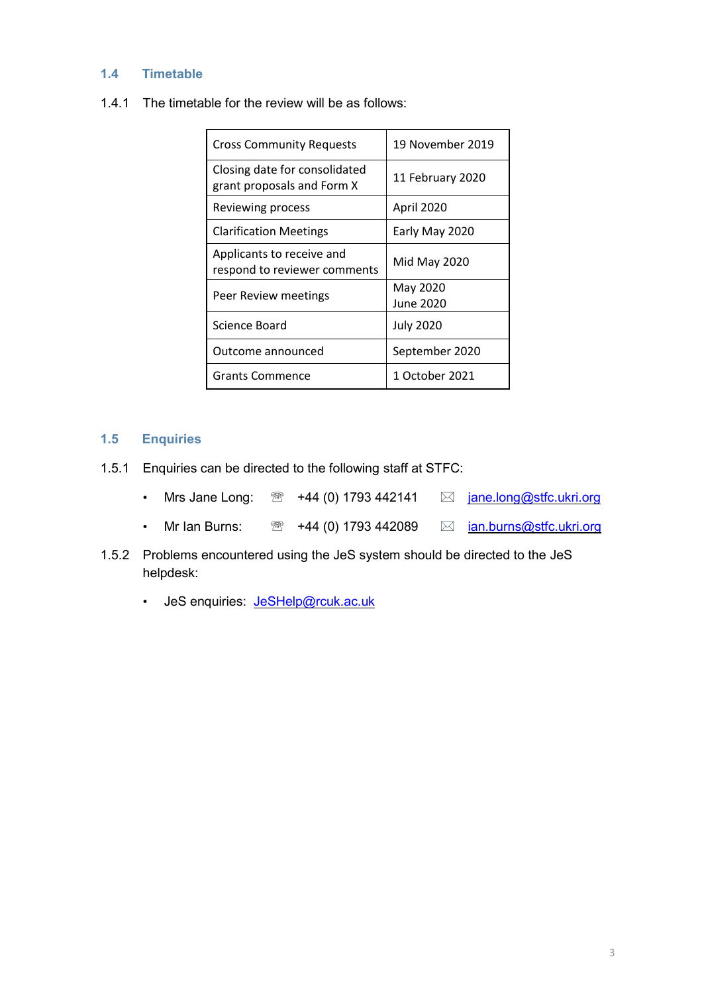### <span id="page-4-0"></span>**1.4 Timetable**

1.4.1 The timetable for the review will be as follows:

| <b>Cross Community Requests</b>                             | 19 November 2019      |  |
|-------------------------------------------------------------|-----------------------|--|
| Closing date for consolidated<br>grant proposals and Form X | 11 February 2020      |  |
| Reviewing process                                           | April 2020            |  |
| <b>Clarification Meetings</b>                               | Early May 2020        |  |
| Applicants to receive and<br>respond to reviewer comments   | Mid May 2020          |  |
| Peer Review meetings                                        | May 2020<br>June 2020 |  |
| Science Board                                               | <b>July 2020</b>      |  |
| Outcome announced                                           | September 2020        |  |
| Grants Commence                                             | 1 October 2021        |  |

## <span id="page-4-1"></span>**1.5 Enquiries**

- 1.5.1 Enquiries can be directed to the following staff at STFC:
	- Mrs Jane Long:  $\mathbb{R}$  +44 (0) 1793 442141  $\boxtimes$  [jane.long@stfc.ukri.org](mailto:jane.long@stfc.ukri.org)
	- Mr Ian Burns:  $\circledast$  +44 (0) 1793 442089  $\boxtimes$  *[ian.burns@stfc.ukri.org](mailto:ian.burns@stfc.ukri.org)*
- 1.5.2 Problems encountered using the JeS system should be directed to the JeS helpdesk:
	- JeS enquiries: [JeSHelp@rcuk.ac.uk](mailto:JeSHelp@rcuk.ac.uk)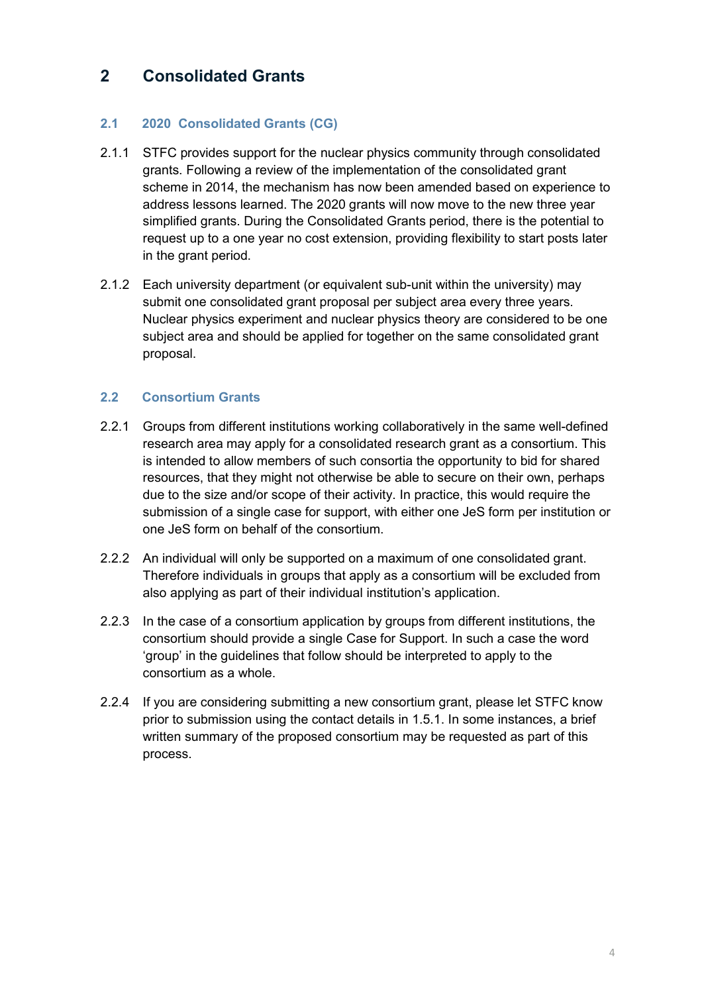# <span id="page-5-0"></span>**2 Consolidated Grants**

# <span id="page-5-1"></span>**2.1 2020 Consolidated Grants (CG)**

- 2.1.1 STFC provides support for the nuclear physics community through consolidated grants. Following a review of the implementation of the consolidated grant scheme in 2014, the mechanism has now been amended based on experience to address lessons learned. The 2020 grants will now move to the new three year simplified grants. During the Consolidated Grants period, there is the potential to request up to a one year no cost extension, providing flexibility to start posts later in the grant period.
- 2.1.2 Each university department (or equivalent sub-unit within the university) may submit one consolidated grant proposal per subject area every three years. Nuclear physics experiment and nuclear physics theory are considered to be one subject area and should be applied for together on the same consolidated grant proposal.

## <span id="page-5-2"></span>**2.2 Consortium Grants**

- 2.2.1 Groups from different institutions working collaboratively in the same well-defined research area may apply for a consolidated research grant as a consortium. This is intended to allow members of such consortia the opportunity to bid for shared resources, that they might not otherwise be able to secure on their own, perhaps due to the size and/or scope of their activity. In practice, this would require the submission of a single case for support, with either one JeS form per institution or one JeS form on behalf of the consortium.
- 2.2.2 An individual will only be supported on a maximum of one consolidated grant. Therefore individuals in groups that apply as a consortium will be excluded from also applying as part of their individual institution's application.
- 2.2.3 In the case of a consortium application by groups from different institutions, the consortium should provide a single Case for Support. In such a case the word 'group' in the guidelines that follow should be interpreted to apply to the consortium as a whole.
- 2.2.4 If you are considering submitting a new consortium grant, please let STFC know prior to submission using the contact details in 1.5.1. In some instances, a brief written summary of the proposed consortium may be requested as part of this process.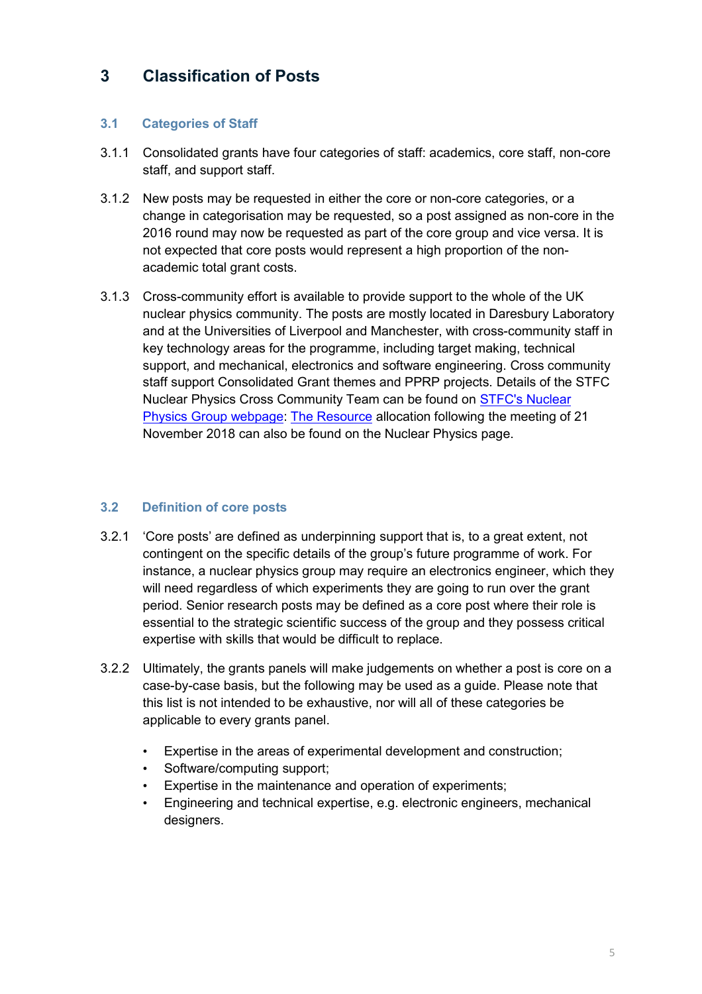# <span id="page-6-0"></span>**3 Classification of Posts**

# <span id="page-6-1"></span>**3.1 Categories of Staff**

- 3.1.1 Consolidated grants have four categories of staff: academics, core staff, non-core staff, and support staff.
- 3.1.2 New posts may be requested in either the core or non-core categories, or a change in categorisation may be requested, so a post assigned as non-core in the 2016 round may now be requested as part of the core group and vice versa. It is not expected that core posts would represent a high proportion of the nonacademic total grant costs.
- 3.1.3 Cross-community effort is available to provide support to the whole of the UK nuclear physics community. The posts are mostly located in Daresbury Laboratory and at the Universities of Liverpool and Manchester, with cross-community staff in key technology areas for the programme, including target making, technical support, and mechanical, electronics and software engineering. Cross community staff support Consolidated Grant themes and PPRP projects. Details of the STFC Nuclear Physics Cross Community Team can be found on [STFC's Nuclear](http://npg.dl.ac.uk/XCommunity/)  [Physics Group webpage:](http://npg.dl.ac.uk/XCommunity/) [The Resource](http://npg.dl.ac.uk/XCommunity/Documents/CC%20Requests%20and%20allocation-November-2018.pdf) allocation following the meeting of 21 November 2018 can also be found on the Nuclear Physics page.

## <span id="page-6-2"></span>**3.2 Definition of core posts**

- 3.2.1 'Core posts' are defined as underpinning support that is, to a great extent, not contingent on the specific details of the group's future programme of work. For instance, a nuclear physics group may require an electronics engineer, which they will need regardless of which experiments they are going to run over the grant period. Senior research posts may be defined as a core post where their role is essential to the strategic scientific success of the group and they possess critical expertise with skills that would be difficult to replace.
- 3.2.2 Ultimately, the grants panels will make judgements on whether a post is core on a case-by-case basis, but the following may be used as a guide. Please note that this list is not intended to be exhaustive, nor will all of these categories be applicable to every grants panel.
	- Expertise in the areas of experimental development and construction;
	- Software/computing support;
	- Expertise in the maintenance and operation of experiments;
	- Engineering and technical expertise, e.g. electronic engineers, mechanical designers.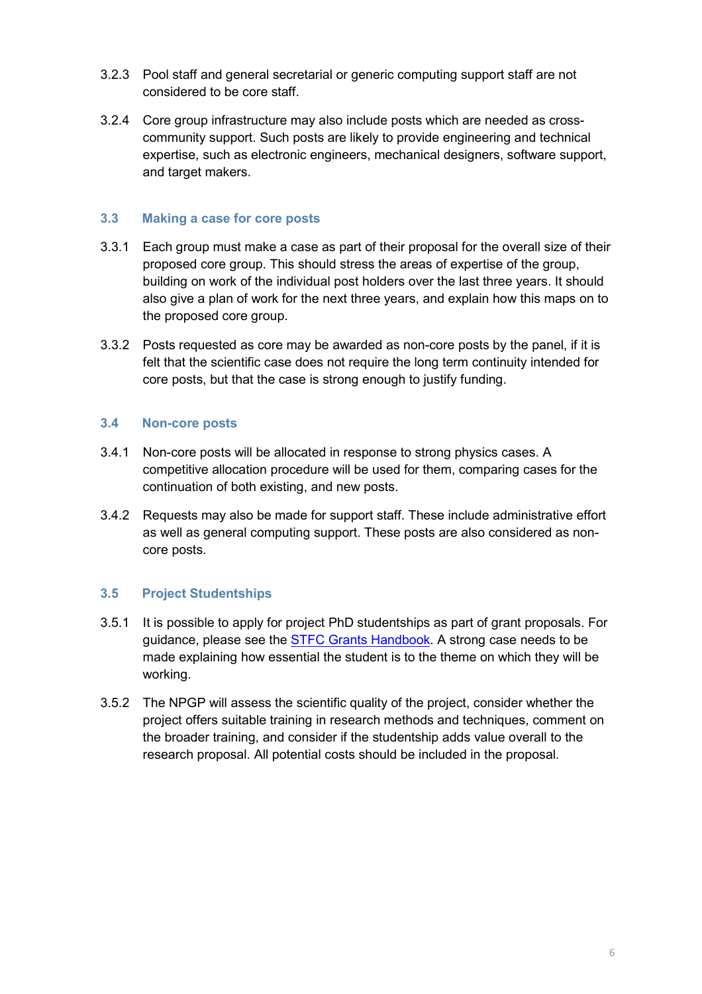- 3.2.3 Pool staff and general secretarial or generic computing support staff are not considered to be core staff.
- 3.2.4 Core group infrastructure may also include posts which are needed as crosscommunity support. Such posts are likely to provide engineering and technical expertise, such as electronic engineers, mechanical designers, software support, and target makers.

### <span id="page-7-0"></span>**3.3 Making a case for core posts**

- 3.3.1 Each group must make a case as part of their proposal for the overall size of their proposed core group. This should stress the areas of expertise of the group, building on work of the individual post holders over the last three years. It should also give a plan of work for the next three years, and explain how this maps on to the proposed core group.
- 3.3.2 Posts requested as core may be awarded as non-core posts by the panel, if it is felt that the scientific case does not require the long term continuity intended for core posts, but that the case is strong enough to justify funding.

### <span id="page-7-1"></span>**3.4 Non-core posts**

- 3.4.1 Non-core posts will be allocated in response to strong physics cases. A competitive allocation procedure will be used for them, comparing cases for the continuation of both existing, and new posts.
- 3.4.2 Requests may also be made for support staff. These include administrative effort as well as general computing support. These posts are also considered as noncore posts.

## <span id="page-7-2"></span>**3.5 Project Studentships**

- 3.5.1 It is possible to apply for project PhD studentships as part of grant proposals. For guidance, please see the STFC Grants [Handbook.](https://stfc.ukri.org/research-grants-handbook/5-applying-for-a-grant/5-4-staff-including-investigators/) A strong case needs to be made explaining how essential the student is to the theme on which they will be working.
- 3.5.2 The NPGP will assess the scientific quality of the project, consider whether the project offers suitable training in research methods and techniques, comment on the broader training, and consider if the studentship adds value overall to the research proposal. All potential costs should be included in the proposal.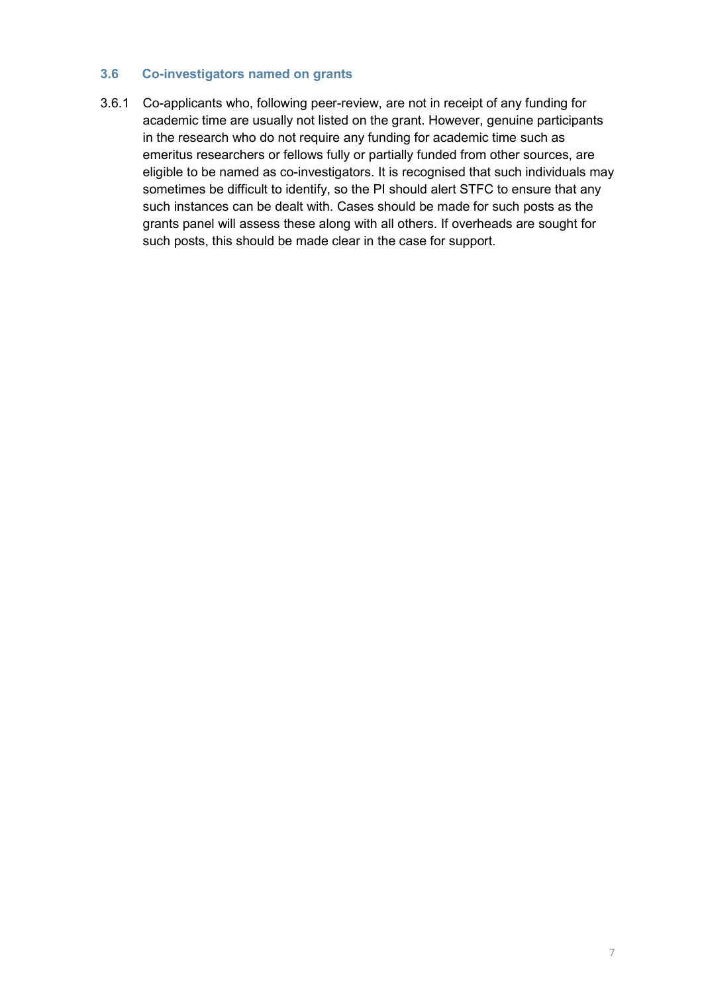### <span id="page-8-0"></span>**3.6 Co-investigators named on grants**

3.6.1 Co-applicants who, following peer-review, are not in receipt of any funding for academic time are usually not listed on the grant. However, genuine participants in the research who do not require any funding for academic time such as emeritus researchers or fellows fully or partially funded from other sources, are eligible to be named as co-investigators. It is recognised that such individuals may sometimes be difficult to identify, so the PI should alert STFC to ensure that any such instances can be dealt with. Cases should be made for such posts as the grants panel will assess these along with all others. If overheads are sought for such posts, this should be made clear in the case for support.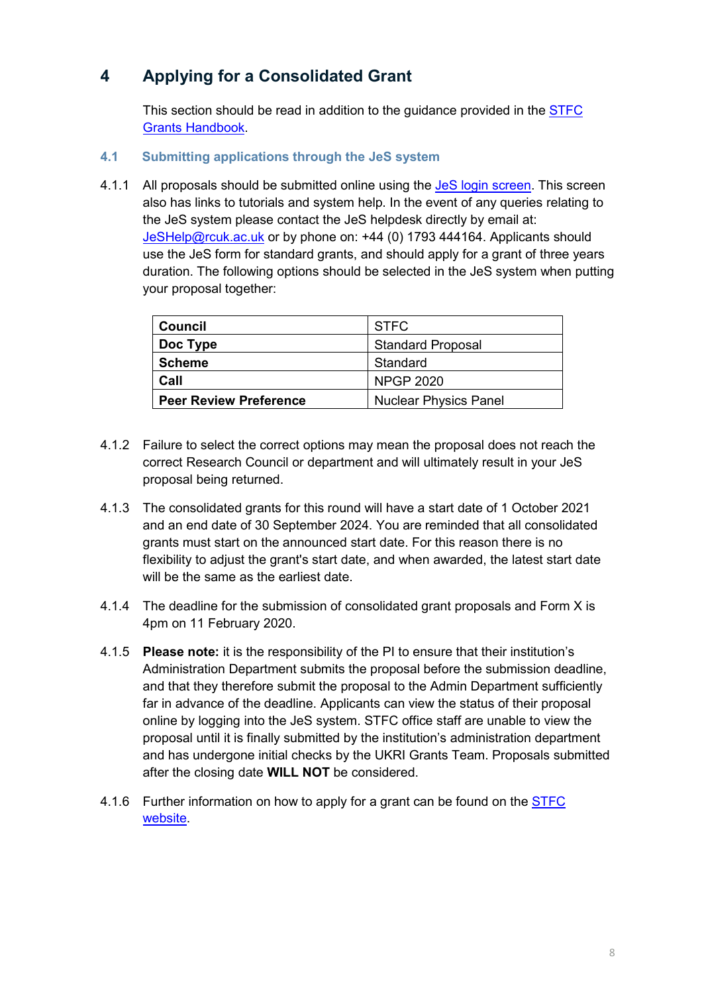# <span id="page-9-0"></span>**4 Applying for a Consolidated Grant**

This section should be read in addition to the guidance provided in the [STFC](https://stfc.ukri.org/research-grants-handbook/) Grants [Handbook.](https://stfc.ukri.org/research-grants-handbook/)

- <span id="page-9-1"></span>**4.1 Submitting applications through the JeS system**
- 4.1.1 All proposals should be submitted online using the JeS login [screen.](https://je-s.rcuk.ac.uk/JeS2WebLoginSite/Login.aspx) This screen also has links to tutorials and system help. In the event of any queries relating to the JeS system please contact the JeS helpdesk directly by email at: [JeSHelp@rcuk.ac.uk](mailto:JeSHelp@rcuk.ac.uk) or by phone on: +44 (0) 1793 444164. Applicants should use the JeS form for standard grants, and should apply for a grant of three years duration. The following options should be selected in the JeS system when putting your proposal together:

| <b>Council</b>                | <b>STFC</b>                  |  |  |
|-------------------------------|------------------------------|--|--|
| Doc Type                      | <b>Standard Proposal</b>     |  |  |
| <b>Scheme</b>                 | Standard                     |  |  |
| Call                          | <b>NPGP 2020</b>             |  |  |
| <b>Peer Review Preference</b> | <b>Nuclear Physics Panel</b> |  |  |

- 4.1.2 Failure to select the correct options may mean the proposal does not reach the correct Research Council or department and will ultimately result in your JeS proposal being returned.
- 4.1.3 The consolidated grants for this round will have a start date of 1 October 2021 and an end date of 30 September 2024. You are reminded that all consolidated grants must start on the announced start date. For this reason there is no flexibility to adjust the grant's start date, and when awarded, the latest start date will be the same as the earliest date.
- 4.1.4 The deadline for the submission of consolidated grant proposals and Form X is 4pm on 11 February 2020.
- 4.1.5 **Please note:** it is the responsibility of the PI to ensure that their institution's Administration Department submits the proposal before the submission deadline, and that they therefore submit the proposal to the Admin Department sufficiently far in advance of the deadline. Applicants can view the status of their proposal online by logging into the JeS system. STFC office staff are unable to view the proposal until it is finally submitted by the institution's administration department and has undergone initial checks by the UKRI Grants Team. Proposals submitted after the closing date **WILL NOT** be considered.
- 4.1.6 Further information on how to apply for a grant can be found on the [STFC](https://stfc.ukri.org/funding/research-grants/how-to-apply-for-research-grants/) [website.](https://stfc.ukri.org/funding/research-grants/how-to-apply-for-research-grants/)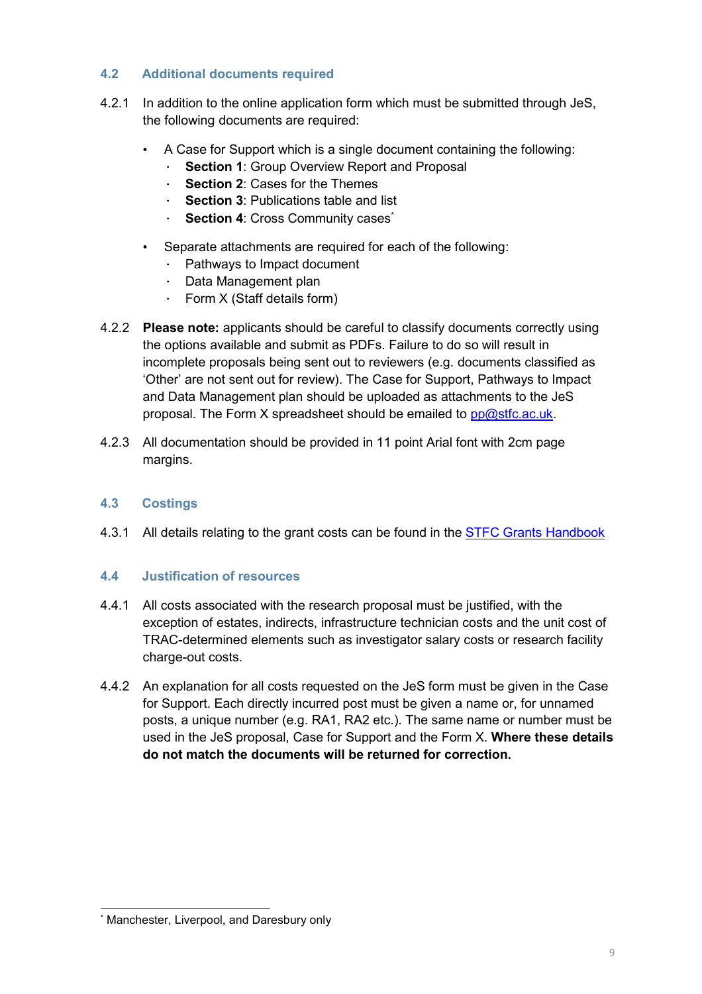## <span id="page-10-0"></span>**4.2 Additional documents required**

- 4.2.1 In addition to the online application form which must be submitted through JeS, the following documents are required:
	- A Case for Support which is a single document containing the following:
		- ∙ **Section 1**: Group Overview Report and Proposal
		- ∙ **Section 2**: Cases for the Themes
		- ∙ **Section 3**: Publications table and list
		- ∙ **Section 4**: Cross Community cases\*
	- Separate attachments are required for each of the following:
		- ∙ Pathways to Impact document
		- ∙ Data Management plan
		- ∙ Form X (Staff details form)
- 4.2.2 **Please note:** applicants should be careful to classify documents correctly using the options available and submit as PDFs. Failure to do so will result in incomplete proposals being sent out to reviewers (e.g. documents classified as 'Other' are not sent out for review). The Case for Support, Pathways to Impact and Data Management plan should be uploaded as attachments to the JeS proposal. The Form X spreadsheet should be emailed to [pp@stfc.ac.uk.](mailto:pp@stfc.ac.uk)
- 4.2.3 All documentation should be provided in 11 point Arial font with 2cm page margins.

# <span id="page-10-1"></span>**4.3 Costings**

4.3.1 All details relating to the grant costs can be found in the **STFC Grants [Handbook](https://stfc.ukri.org/research-grants-handbook/)** 

## <span id="page-10-2"></span>**4.4 Justification of resources**

- 4.4.1 All costs associated with the research proposal must be justified, with the exception of estates, indirects, infrastructure technician costs and the unit cost of TRAC-determined elements such as investigator salary costs or research facility charge-out costs.
- 4.4.2 An explanation for all costs requested on the JeS form must be given in the Case for Support. Each directly incurred post must be given a name or, for unnamed posts, a unique number (e.g. RA1, RA2 etc.). The same name or number must be used in the JeS proposal, Case for Support and the Form X. **Where these details do not match the documents will be returned for correction.**

<sup>-</sup>Manchester, Liverpool, and Daresbury only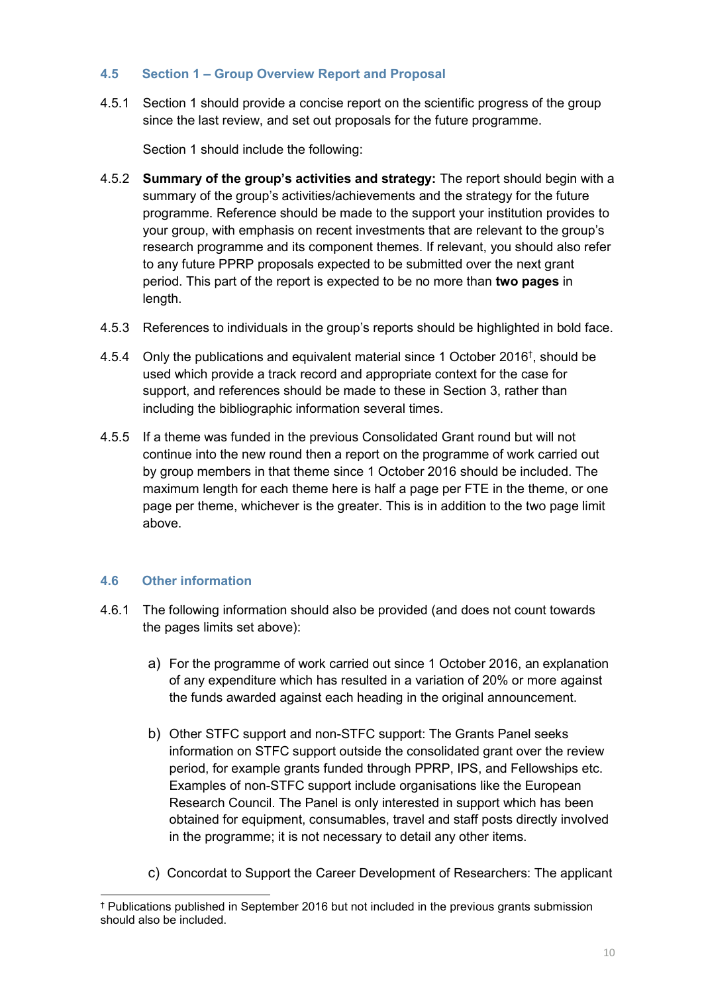### <span id="page-11-0"></span>**4.5 Section 1 – Group Overview Report and Proposal**

4.5.1 Section 1 should provide a concise report on the scientific progress of the group since the last review, and set out proposals for the future programme.

Section 1 should include the following:

- 4.5.2 **Summary of the group's activities and strategy:** The report should begin with a summary of the group's activities/achievements and the strategy for the future programme. Reference should be made to the support your institution provides to your group, with emphasis on recent investments that are relevant to the group's research programme and its component themes. If relevant, you should also refer to any future PPRP proposals expected to be submitted over the next grant period. This part of the report is expected to be no more than **two pages** in length.
- 4.5.3 References to individuals in the group's reports should be highlighted in bold face.
- 4.5.4 Only the publications and equivalent material since 1 October 2016† , should be used which provide a track record and appropriate context for the case for support, and references should be made to these in Section 3, rather than including the bibliographic information several times.
- 4.5.5 If a theme was funded in the previous Consolidated Grant round but will not continue into the new round then a report on the programme of work carried out by group members in that theme since 1 October 2016 should be included. The maximum length for each theme here is half a page per FTE in the theme, or one page per theme, whichever is the greater. This is in addition to the two page limit above.

## <span id="page-11-1"></span>**4.6 Other information**

- 4.6.1 The following information should also be provided (and does not count towards the pages limits set above):
	- a) For the programme of work carried out since 1 October 2016, an explanation of any expenditure which has resulted in a variation of 20% or more against the funds awarded against each heading in the original announcement.
	- b) Other STFC support and non-STFC support: The Grants Panel seeks information on STFC support outside the consolidated grant over the review period, for example grants funded through PPRP, IPS, and Fellowships etc. Examples of non-STFC support include organisations like the European Research Council. The Panel is only interested in support which has been obtained for equipment, consumables, travel and staff posts directly involved in the programme; it is not necessary to detail any other items.
	- c) Concordat to Support the Career Development of Researchers: The applicant

<sup>-</sup>† Publications published in September 2016 but not included in the previous grants submission should also be included.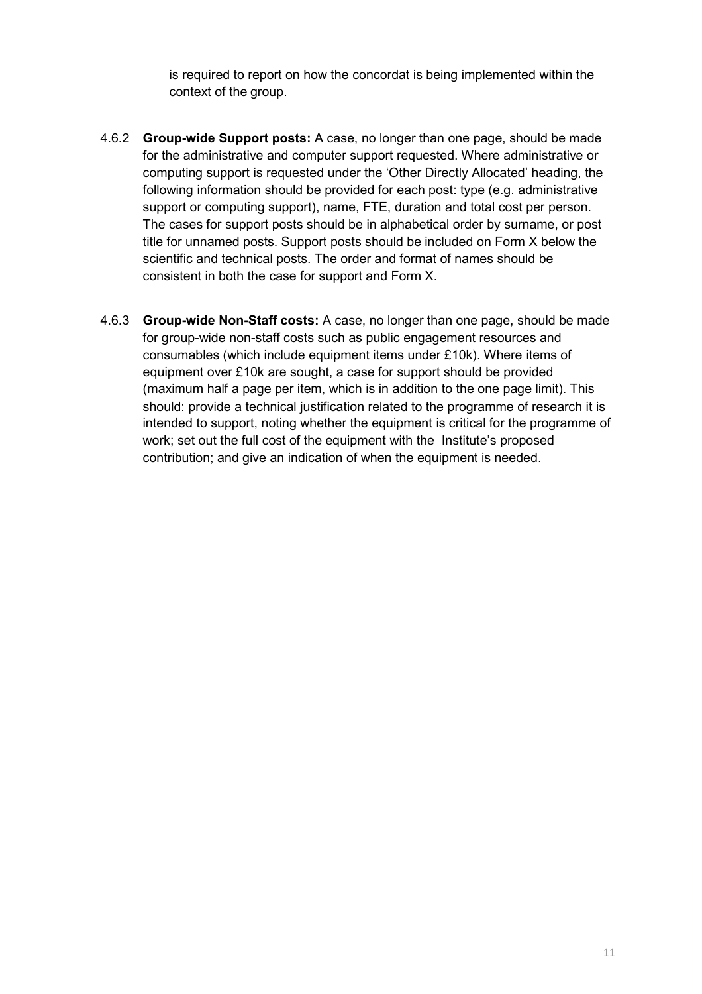is required to report on how the concordat is being implemented within the context of the group.

- 4.6.2 **Group-wide Support posts:** A case, no longer than one page, should be made for the administrative and computer support requested. Where administrative or computing support is requested under the 'Other Directly Allocated' heading, the following information should be provided for each post: type (e.g. administrative support or computing support), name, FTE, duration and total cost per person. The cases for support posts should be in alphabetical order by surname, or post title for unnamed posts. Support posts should be included on Form X below the scientific and technical posts. The order and format of names should be consistent in both the case for support and Form X.
- 4.6.3 **Group-wide Non-Staff costs:** A case, no longer than one page, should be made for group-wide non-staff costs such as public engagement resources and consumables (which include equipment items under £10k). Where items of equipment over £10k are sought, a case for support should be provided (maximum half a page per item, which is in addition to the one page limit). This should: provide a technical justification related to the programme of research it is intended to support, noting whether the equipment is critical for the programme of work; set out the full cost of the equipment with the Institute's proposed contribution; and give an indication of when the equipment is needed.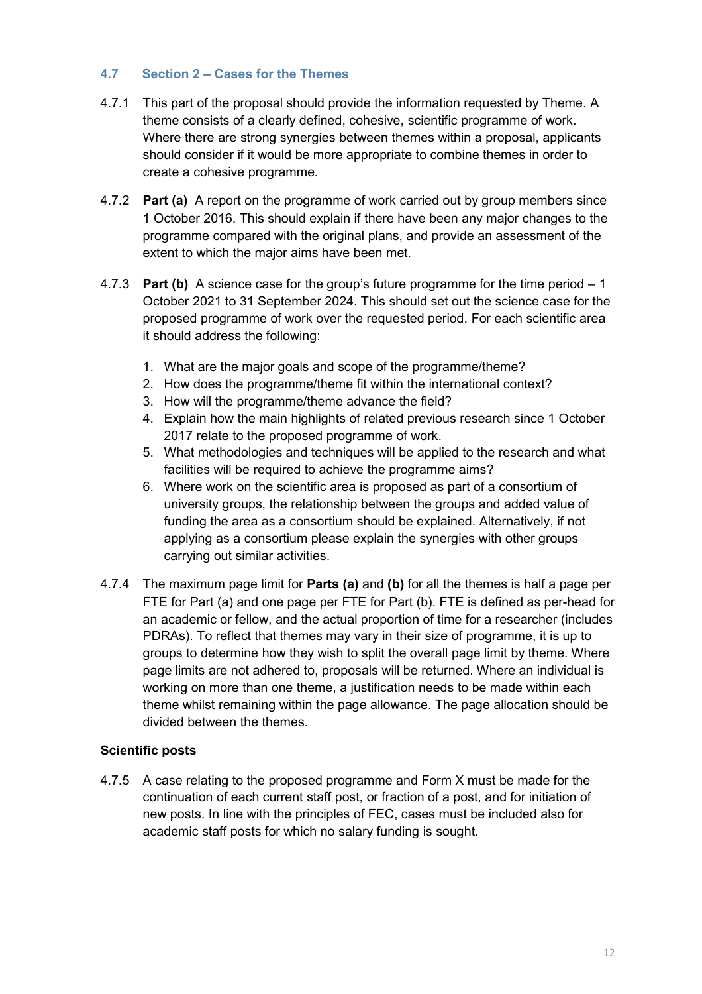## <span id="page-13-0"></span>**4.7 Section 2 – Cases for the Themes**

- 4.7.1 This part of the proposal should provide the information requested by Theme. A theme consists of a clearly defined, cohesive, scientific programme of work. Where there are strong synergies between themes within a proposal, applicants should consider if it would be more appropriate to combine themes in order to create a cohesive programme.
- 4.7.2 **Part (a)** A report on the programme of work carried out by group members since 1 October 2016. This should explain if there have been any major changes to the programme compared with the original plans, and provide an assessment of the extent to which the major aims have been met.
- 4.7.3 **Part (b)** A science case for the group's future programme for the time period 1 October 2021 to 31 September 2024. This should set out the science case for the proposed programme of work over the requested period. For each scientific area it should address the following:
	- 1. What are the major goals and scope of the programme/theme?
	- 2. How does the programme/theme fit within the international context?
	- 3. How will the programme/theme advance the field?
	- 4. Explain how the main highlights of related previous research since 1 October 2017 relate to the proposed programme of work.
	- 5. What methodologies and techniques will be applied to the research and what facilities will be required to achieve the programme aims?
	- 6. Where work on the scientific area is proposed as part of a consortium of university groups, the relationship between the groups and added value of funding the area as a consortium should be explained. Alternatively, if not applying as a consortium please explain the synergies with other groups carrying out similar activities.
- 4.7.4 The maximum page limit for **Parts (a)** and **(b)** for all the themes is half a page per FTE for Part (a) and one page per FTE for Part (b). FTE is defined as per-head for an academic or fellow, and the actual proportion of time for a researcher (includes PDRAs). To reflect that themes may vary in their size of programme, it is up to groups to determine how they wish to split the overall page limit by theme. Where page limits are not adhered to, proposals will be returned. Where an individual is working on more than one theme, a justification needs to be made within each theme whilst remaining within the page allowance. The page allocation should be divided between the themes.

#### **Scientific posts**

4.7.5 A case relating to the proposed programme and Form X must be made for the continuation of each current staff post, or fraction of a post, and for initiation of new posts. In line with the principles of FEC, cases must be included also for academic staff posts for which no salary funding is sought.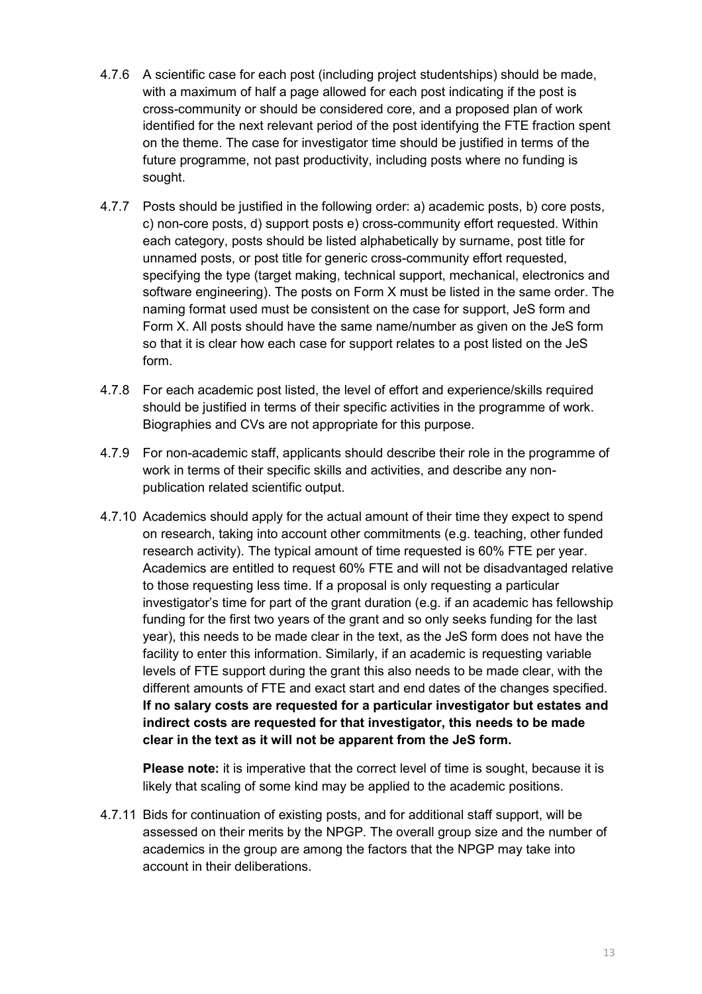- 4.7.6 A scientific case for each post (including project studentships) should be made, with a maximum of half a page allowed for each post indicating if the post is cross-community or should be considered core, and a proposed plan of work identified for the next relevant period of the post identifying the FTE fraction spent on the theme. The case for investigator time should be justified in terms of the future programme, not past productivity, including posts where no funding is sought.
- 4.7.7 Posts should be justified in the following order: a) academic posts, b) core posts, c) non-core posts, d) support posts e) cross-community effort requested. Within each category, posts should be listed alphabetically by surname, post title for unnamed posts, or post title for generic cross-community effort requested, specifying the type (target making, technical support, mechanical, electronics and software engineering). The posts on Form X must be listed in the same order. The naming format used must be consistent on the case for support, JeS form and Form X. All posts should have the same name/number as given on the JeS form so that it is clear how each case for support relates to a post listed on the JeS form.
- 4.7.8 For each academic post listed, the level of effort and experience/skills required should be justified in terms of their specific activities in the programme of work. Biographies and CVs are not appropriate for this purpose.
- 4.7.9 For non-academic staff, applicants should describe their role in the programme of work in terms of their specific skills and activities, and describe any nonpublication related scientific output.
- 4.7.10 Academics should apply for the actual amount of their time they expect to spend on research, taking into account other commitments (e.g. teaching, other funded research activity). The typical amount of time requested is 60% FTE per year. Academics are entitled to request 60% FTE and will not be disadvantaged relative to those requesting less time. If a proposal is only requesting a particular investigator's time for part of the grant duration (e.g. if an academic has fellowship funding for the first two years of the grant and so only seeks funding for the last year), this needs to be made clear in the text, as the JeS form does not have the facility to enter this information. Similarly, if an academic is requesting variable levels of FTE support during the grant this also needs to be made clear, with the different amounts of FTE and exact start and end dates of the changes specified. **If no salary costs are requested for a particular investigator but estates and indirect costs are requested for that investigator, this needs to be made clear in the text as it will not be apparent from the JeS form.**

**Please note:** it is imperative that the correct level of time is sought, because it is likely that scaling of some kind may be applied to the academic positions.

4.7.11 Bids for continuation of existing posts, and for additional staff support, will be assessed on their merits by the NPGP. The overall group size and the number of academics in the group are among the factors that the NPGP may take into account in their deliberations.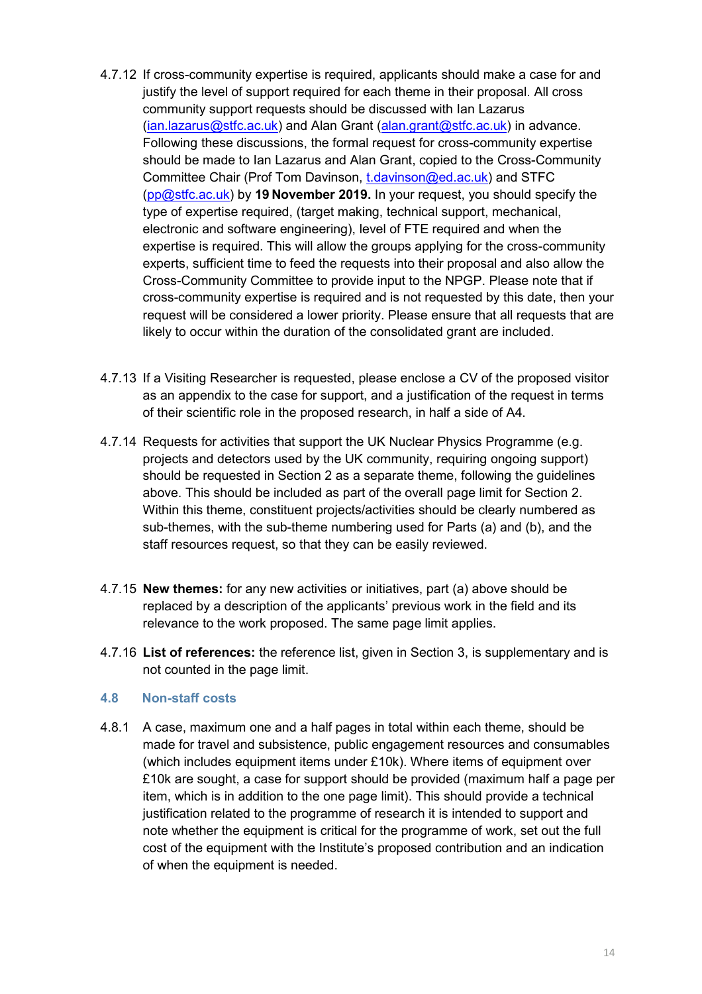- 4.7.12 If cross-community expertise is required, applicants should make a case for and justify the level of support required for each theme in their proposal. All cross community support requests should be discussed with Ian Lazarus [\(ian.lazarus@stfc.ac.uk\)](mailto:ian.lazarus@stfc.ac.uk) and Alan Grant [\(alan.grant@stfc.ac.uk\)](mailto:alan.grant@stfc.ac.uk) in advance. Following these discussions, the formal request for cross-community expertise should be made to Ian Lazarus and Alan Grant, copied to the Cross-Community Committee Chair (Prof Tom Davinson, [t.davinson@ed.ac.uk\)](mailto:t.davinson@ed.ac.uk) and STFC [\(pp@stfc.ac.uk\)](mailto:pp@stfc.ac.uk) by **19 November 2019.** In your request, you should specify the type of expertise required, (target making, technical support, mechanical, electronic and software engineering), level of FTE required and when the expertise is required. This will allow the groups applying for the cross-community experts, sufficient time to feed the requests into their proposal and also allow the Cross-Community Committee to provide input to the NPGP. Please note that if cross-community expertise is required and is not requested by this date, then your request will be considered a lower priority. Please ensure that all requests that are likely to occur within the duration of the consolidated grant are included.
- 4.7.13 If a Visiting Researcher is requested, please enclose a CV of the proposed visitor as an appendix to the case for support, and a justification of the request in terms of their scientific role in the proposed research, in half a side of A4.
- 4.7.14 Requests for activities that support the UK Nuclear Physics Programme (e.g. projects and detectors used by the UK community, requiring ongoing support) should be requested in Section 2 as a separate theme, following the guidelines above. This should be included as part of the overall page limit for Section 2. Within this theme, constituent projects/activities should be clearly numbered as sub-themes, with the sub-theme numbering used for Parts (a) and (b), and the staff resources request, so that they can be easily reviewed.
- 4.7.15 **New themes:** for any new activities or initiatives, part (a) above should be replaced by a description of the applicants' previous work in the field and its relevance to the work proposed. The same page limit applies.
- 4.7.16 **List of references:** the reference list, given in Section 3, is supplementary and is not counted in the page limit.

#### <span id="page-15-0"></span>**4.8 Non-staff costs**

4.8.1 A case, maximum one and a half pages in total within each theme, should be made for travel and subsistence, public engagement resources and consumables (which includes equipment items under £10k). Where items of equipment over £10k are sought, a case for support should be provided (maximum half a page per item, which is in addition to the one page limit). This should provide a technical justification related to the programme of research it is intended to support and note whether the equipment is critical for the programme of work, set out the full cost of the equipment with the Institute's proposed contribution and an indication of when the equipment is needed.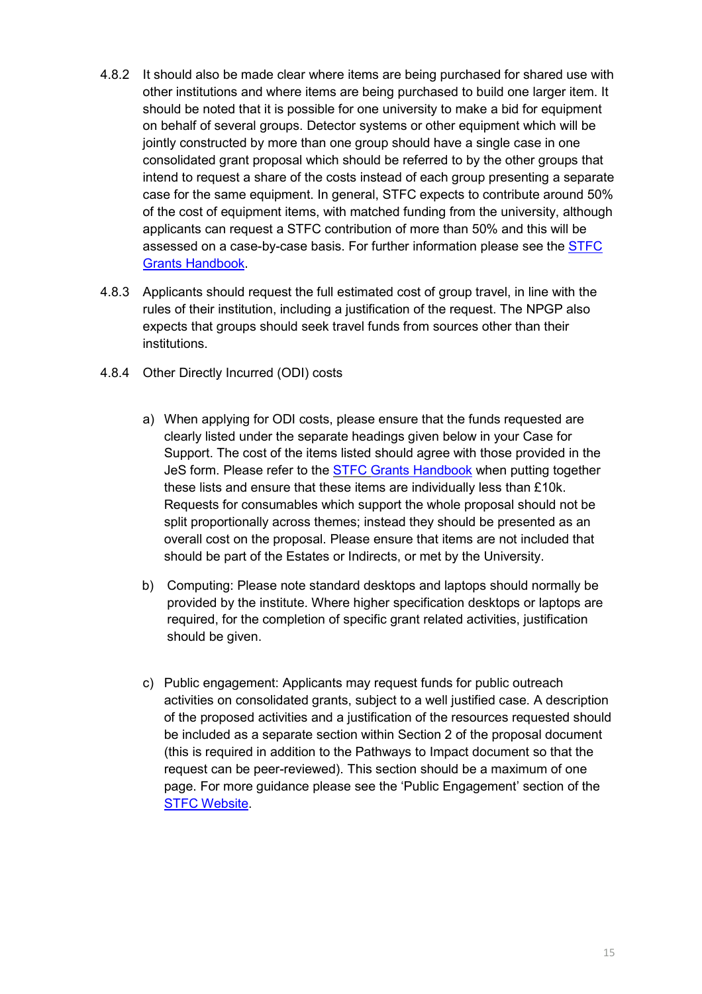- 4.8.2 It should also be made clear where items are being purchased for shared use with other institutions and where items are being purchased to build one larger item. It should be noted that it is possible for one university to make a bid for equipment on behalf of several groups. Detector systems or other equipment which will be jointly constructed by more than one group should have a single case in one consolidated grant proposal which should be referred to by the other groups that intend to request a share of the costs instead of each group presenting a separate case for the same equipment. In general, STFC expects to contribute around 50% of the cost of equipment items, with matched funding from the university, although applicants can request a STFC contribution of more than 50% and this will be assessed on a case-by-case basis. For further information please see the [STFC](https://stfc.ukri.org/research-grants-handbook/5-applying-for-a-grant/5-6-equipment/) Grants [Handbook.](https://stfc.ukri.org/research-grants-handbook/5-applying-for-a-grant/5-6-equipment/)
- 4.8.3 Applicants should request the full estimated cost of group travel, in line with the rules of their institution, including a justification of the request. The NPGP also expects that groups should seek travel funds from sources other than their institutions.
- 4.8.4 Other Directly Incurred (ODI) costs
	- a) When applying for ODI costs, please ensure that the funds requested are clearly listed under the separate headings given below in your Case for Support. The cost of the items listed should agree with those provided in the JeS form. Please refer to the STFC Grants [Handbook](https://stfc.ukri.org/research-grants-handbook/5-applying-for-a-grant/5-7-other-costs/) when putting together these lists and ensure that these items are individually less than £10k. Requests for consumables which support the whole proposal should not be split proportionally across themes; instead they should be presented as an overall cost on the proposal. Please ensure that items are not included that should be part of the Estates or Indirects, or met by the University.
	- b) Computing: Please note standard desktops and laptops should normally be provided by the institute. Where higher specification desktops or laptops are required, for the completion of specific grant related activities, justification should be given.
	- c) Public engagement: Applicants may request funds for public outreach activities on consolidated grants, subject to a well justified case. A description of the proposed activities and a justification of the resources requested should be included as a separate section within Section 2 of the proposal document (this is required in addition to the Pathways to Impact document so that the request can be peer-reviewed). This section should be a maximum of one page. For more guidance please see the 'Public Engagement' section of the STFC [Website.](https://stfc.ukri.org/public-engagement/)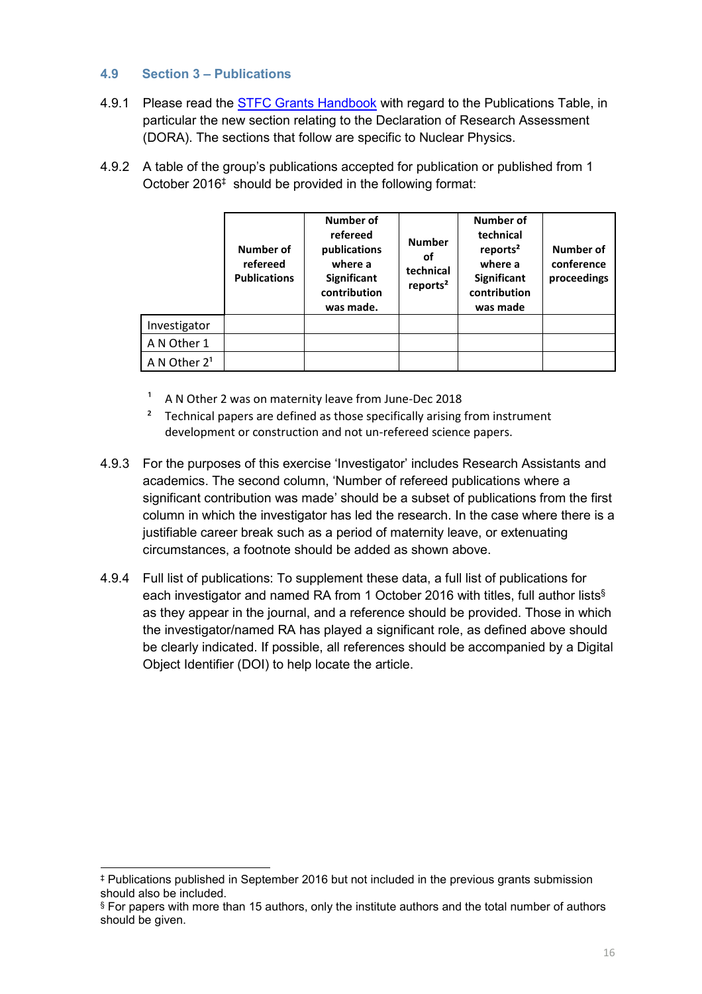## <span id="page-17-0"></span>**4.9 Section 3 – Publications**

- 4.9.1 Please read the [STFC Grants Handbook](https://stfc.ukri.org/research-grants-handbook/5-applying-for-a-grant/5-11-supporting-information/) with regard to the Publications Table, in particular the new section relating to the Declaration of Research Assessment (DORA). The sections that follow are specific to Nuclear Physics.
- 4.9.2 A table of the group's publications accepted for publication or published from 1 October 2016 ‡ should be provided in the following format:

|                          | Number of<br>refereed<br><b>Publications</b> | Number of<br>refereed<br>publications<br>where a<br><b>Significant</b><br>contribution<br>was made. | <b>Number</b><br>οf<br>technical<br>reports <sup>2</sup> | Number of<br>technical<br>reports <sup>2</sup><br>where a<br><b>Significant</b><br>contribution<br>was made | Number of<br>conference<br>proceedings |
|--------------------------|----------------------------------------------|-----------------------------------------------------------------------------------------------------|----------------------------------------------------------|-------------------------------------------------------------------------------------------------------------|----------------------------------------|
| Investigator             |                                              |                                                                                                     |                                                          |                                                                                                             |                                        |
| A N Other 1              |                                              |                                                                                                     |                                                          |                                                                                                             |                                        |
| A N Other 2 <sup>1</sup> |                                              |                                                                                                     |                                                          |                                                                                                             |                                        |

- A N Other 2 was on maternity leave from June-Dec 2018
- Technical papers are defined as those specifically arising from instrument development or construction and not un-refereed science papers.
- 4.9.3 For the purposes of this exercise 'Investigator' includes Research Assistants and academics. The second column, 'Number of refereed publications where a significant contribution was made' should be a subset of publications from the first column in which the investigator has led the research. In the case where there is a justifiable career break such as a period of maternity leave, or extenuating circumstances, a footnote should be added as shown above.
- 4.9.4 Full list of publications: To supplement these data, a full list of publications for each investigator and named RA from 1 October 2016 with titles, full author lists§ as they appear in the journal, and a reference should be provided. Those in which the investigator/named RA has played a significant role, as defined above should be clearly indicated. If possible, all references should be accompanied by a Digital Object Identifier (DOI) to help locate the article.

-

<sup>‡</sup> Publications published in September 2016 but not included in the previous grants submission should also be included.

<sup>§</sup> For papers with more than 15 authors, only the institute authors and the total number of authors should be given.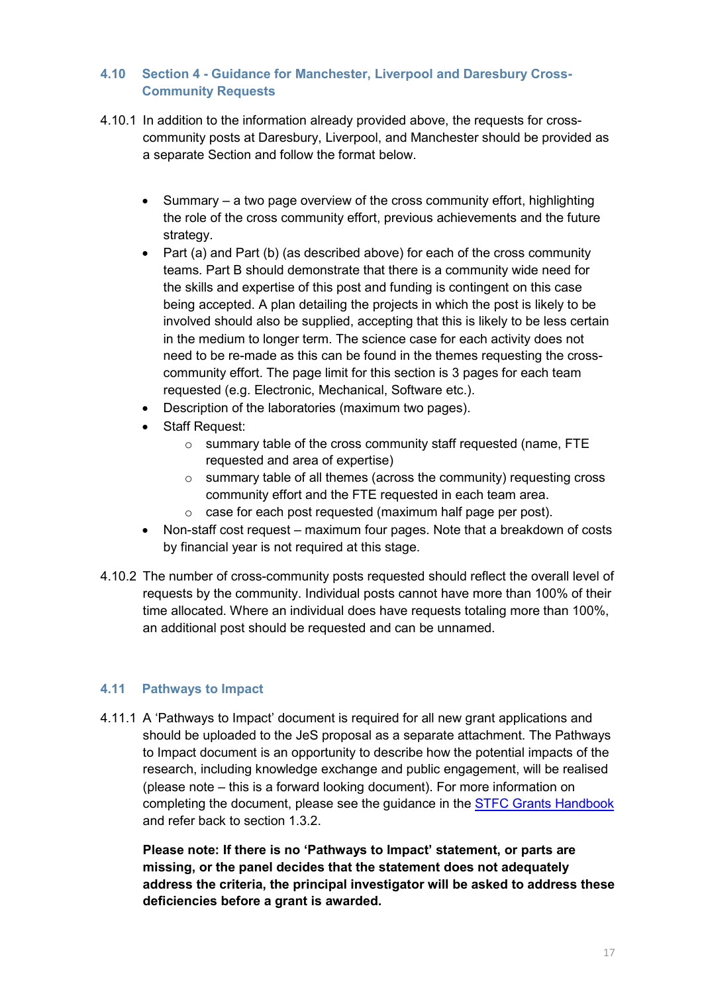# <span id="page-18-0"></span>**4.10 Section 4 - Guidance for Manchester, Liverpool and Daresbury Cross-Community Requests**

- 4.10.1 In addition to the information already provided above, the requests for crosscommunity posts at Daresbury, Liverpool, and Manchester should be provided as a separate Section and follow the format below.
	- Summary a two page overview of the cross community effort, highlighting the role of the cross community effort, previous achievements and the future strategy.
	- Part (a) and Part (b) (as described above) for each of the cross community teams. Part B should demonstrate that there is a community wide need for the skills and expertise of this post and funding is contingent on this case being accepted. A plan detailing the projects in which the post is likely to be involved should also be supplied, accepting that this is likely to be less certain in the medium to longer term. The science case for each activity does not need to be re-made as this can be found in the themes requesting the crosscommunity effort. The page limit for this section is 3 pages for each team requested (e.g. Electronic, Mechanical, Software etc.).
	- Description of the laboratories (maximum two pages).
	- Staff Request:
		- o summary table of the cross community staff requested (name, FTE requested and area of expertise)
		- o summary table of all themes (across the community) requesting cross community effort and the FTE requested in each team area.
		- o case for each post requested (maximum half page per post).
	- Non-staff cost request maximum four pages. Note that a breakdown of costs by financial year is not required at this stage.
- 4.10.2 The number of cross-community posts requested should reflect the overall level of requests by the community. Individual posts cannot have more than 100% of their time allocated. Where an individual does have requests totaling more than 100%, an additional post should be requested and can be unnamed.

## <span id="page-18-1"></span>**4.11 Pathways to Impact**

4.11.1 A 'Pathways to Impact' document is required for all new grant applications and should be uploaded to the JeS proposal as a separate attachment. The Pathways to Impact document is an opportunity to describe how the potential impacts of the research, including knowledge exchange and public engagement, will be realised (please note – this is a forward looking document). For more information on completing the document, please see the guidance in the **[STFC Grants Handbook](https://stfc.ukri.org/research-grants-handbook/5-applying-for-a-grant/5-11-supporting-information/)** and refer back to section 1.3.2.

**Please note: If there is no 'Pathways to Impact' statement, or parts are missing, or the panel decides that the statement does not adequately address the criteria, the principal investigator will be asked to address these deficiencies before a grant is awarded.**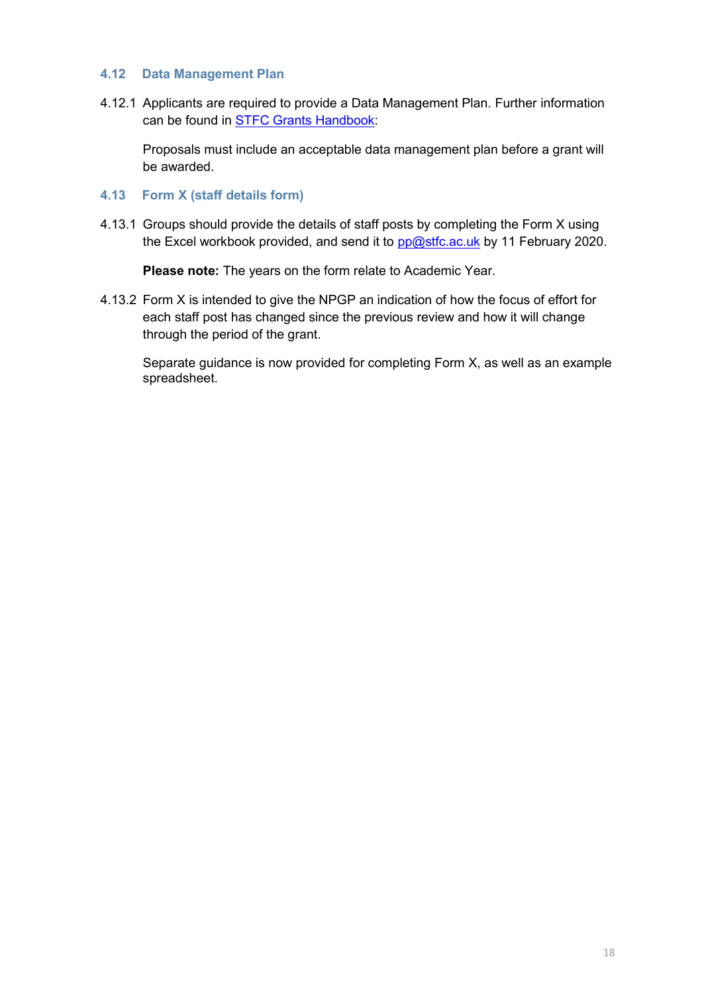#### <span id="page-19-0"></span>**4.12 Data Management Plan**

4.12.1 Applicants are required to provide a Data Management Plan. Further information can be found in [STFC Grants Handbook:](https://stfc.ukri.org/research-grants-handbook/5-applying-for-a-grant/5-11-supporting-information/)

Proposals must include an acceptable data management plan before a grant will be awarded.

- <span id="page-19-1"></span>**4.13 Form X (staff details form)**
- 4.13.1 Groups should provide the details of staff posts by completing the Form X using the Excel workbook provided, and send it to  $pp@stfc.ac.uk$  by 11 February 2020.

**Please note:** The years on the form relate to Academic Year.

4.13.2 Form X is intended to give the NPGP an indication of how the focus of effort for each staff post has changed since the previous review and how it will change through the period of the grant.

Separate guidance is now provided for completing Form X, as well as an example spreadsheet.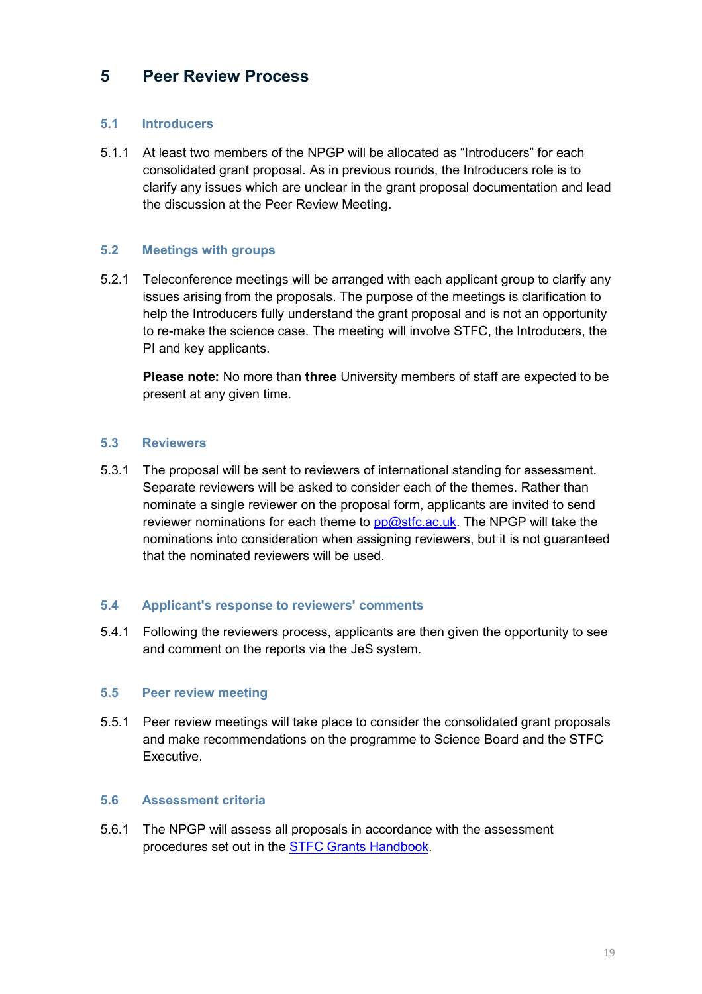# <span id="page-20-0"></span>**5 Peer Review Process**

## <span id="page-20-1"></span>**5.1 Introducers**

5.1.1 At least two members of the NPGP will be allocated as "Introducers" for each consolidated grant proposal. As in previous rounds, the Introducers role is to clarify any issues which are unclear in the grant proposal documentation and lead the discussion at the Peer Review Meeting.

### <span id="page-20-2"></span>**5.2 Meetings with groups**

5.2.1 Teleconference meetings will be arranged with each applicant group to clarify any issues arising from the proposals. The purpose of the meetings is clarification to help the Introducers fully understand the grant proposal and is not an opportunity to re-make the science case. The meeting will involve STFC, the Introducers, the PI and key applicants.

**Please note:** No more than **three** University members of staff are expected to be present at any given time.

#### <span id="page-20-3"></span>**5.3 Reviewers**

5.3.1 The proposal will be sent to reviewers of international standing for assessment. Separate reviewers will be asked to consider each of the themes. Rather than nominate a single reviewer on the proposal form, applicants are invited to send reviewer nominations for each theme to [pp@stfc.ac.uk.](mailto:pp@stfc.ac.uk) The NPGP will take the nominations into consideration when assigning reviewers, but it is not guaranteed that the nominated reviewers will be used.

#### <span id="page-20-4"></span>**5.4 Applicant's response to reviewers' comments**

5.4.1 Following the reviewers process, applicants are then given the opportunity to see and comment on the reports via the JeS system.

#### <span id="page-20-5"></span>**5.5 Peer review meeting**

5.5.1 Peer review meetings will take place to consider the consolidated grant proposals and make recommendations on the programme to Science Board and the STFC Executive.

#### <span id="page-20-6"></span>**5.6 Assessment criteria**

5.6.1 The NPGP will assess all proposals in accordance with the assessment procedures set out in the STFC Grants [Handbook.](https://stfc.ukri.org/research-grants-handbook/6-review-and-assessment-of-proposals/)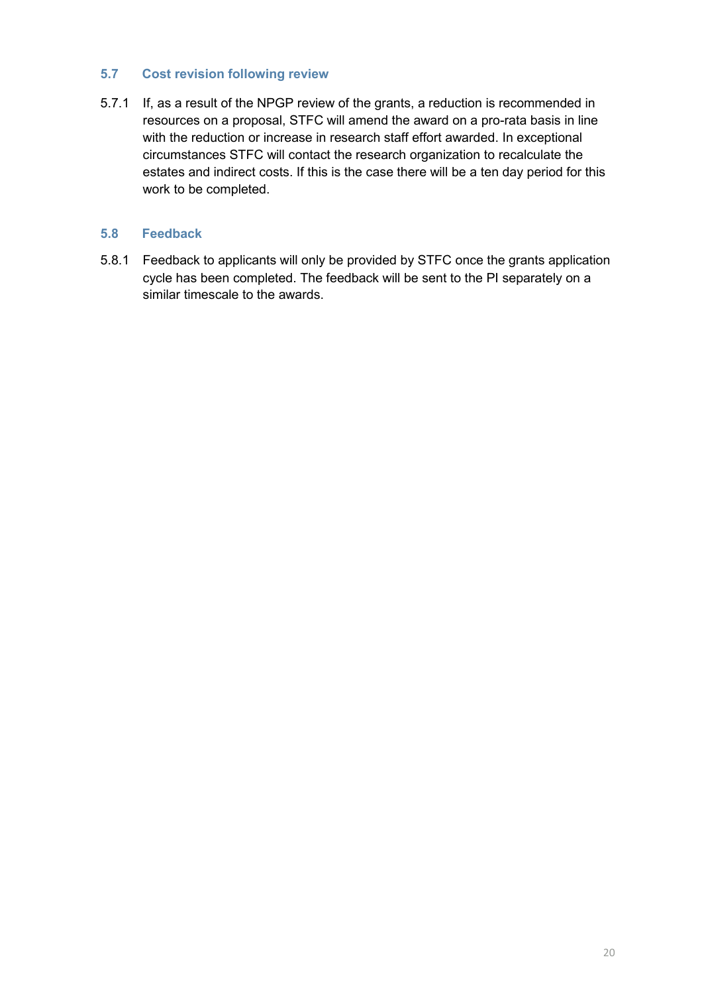## <span id="page-21-0"></span>**5.7 Cost revision following review**

5.7.1 If, as a result of the NPGP review of the grants, a reduction is recommended in resources on a proposal, STFC will amend the award on a pro-rata basis in line with the reduction or increase in research staff effort awarded. In exceptional circumstances STFC will contact the research organization to recalculate the estates and indirect costs. If this is the case there will be a ten day period for this work to be completed.

### <span id="page-21-1"></span>**5.8 Feedback**

5.8.1 Feedback to applicants will only be provided by STFC once the grants application cycle has been completed. The feedback will be sent to the PI separately on a similar timescale to the awards.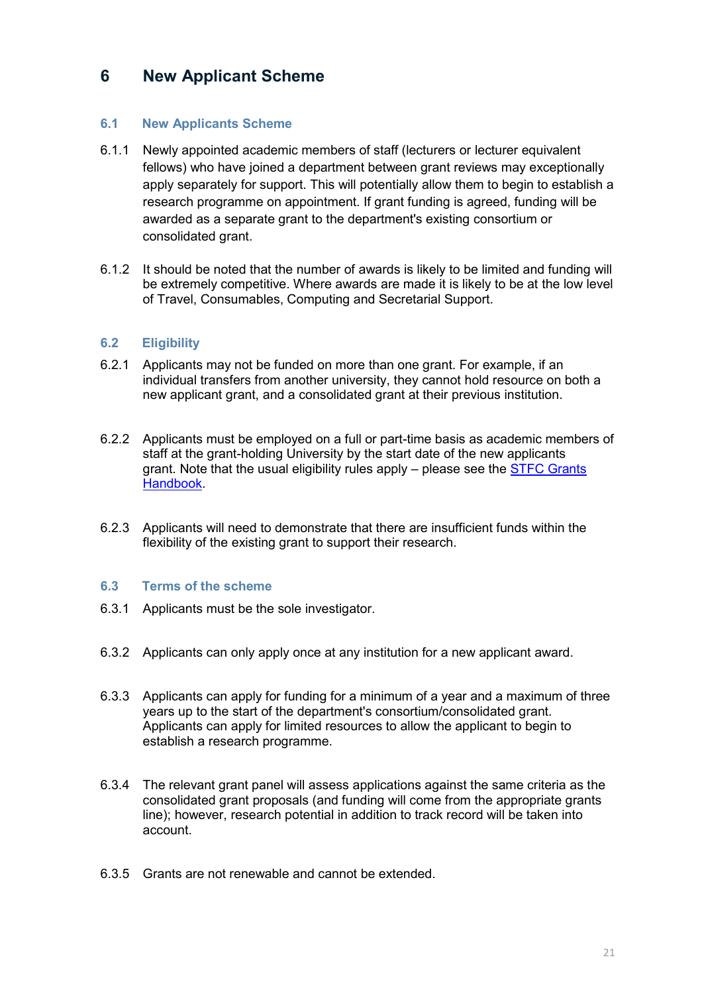# <span id="page-22-0"></span>**6 New Applicant Scheme**

### <span id="page-22-1"></span>**6.1 New Applicants Scheme**

- 6.1.1 Newly appointed academic members of staff (lecturers or lecturer equivalent fellows) who have joined a department between grant reviews may exceptionally apply separately for support. This will potentially allow them to begin to establish a research programme on appointment. If grant funding is agreed, funding will be awarded as a separate grant to the department's existing consortium or consolidated grant.
- 6.1.2 It should be noted that the number of awards is likely to be limited and funding will be extremely competitive. Where awards are made it is likely to be at the low level of Travel, Consumables, Computing and Secretarial Support.

### <span id="page-22-2"></span>**6.2 Eligibility**

- 6.2.1 Applicants may not be funded on more than one grant. For example, if an individual transfers from another university, they cannot hold resource on both a new applicant grant, and a consolidated grant at their previous institution.
- 6.2.2 Applicants must be employed on a full or part-time basis as academic members of staff at the grant-holding University by the start date of the new applicants grant. Note that the usual eligibility rules apply – please see the **STFC Grants** [Handbook.](https://stfc.ukri.org/research-grants-handbook/2-eligibility/)
- 6.2.3 Applicants will need to demonstrate that there are insufficient funds within the flexibility of the existing grant to support their research.

#### <span id="page-22-3"></span>**6.3 Terms of the scheme**

- 6.3.1 Applicants must be the sole investigator.
- 6.3.2 Applicants can only apply once at any institution for a new applicant award.
- 6.3.3 Applicants can apply for funding for a minimum of a year and a maximum of three years up to the start of the department's consortium/consolidated grant. Applicants can apply for limited resources to allow the applicant to begin to establish a research programme.
- 6.3.4 The relevant grant panel will assess applications against the same criteria as the consolidated grant proposals (and funding will come from the appropriate grants line); however, research potential in addition to track record will be taken into account.
- 6.3.5 Grants are not renewable and cannot be extended.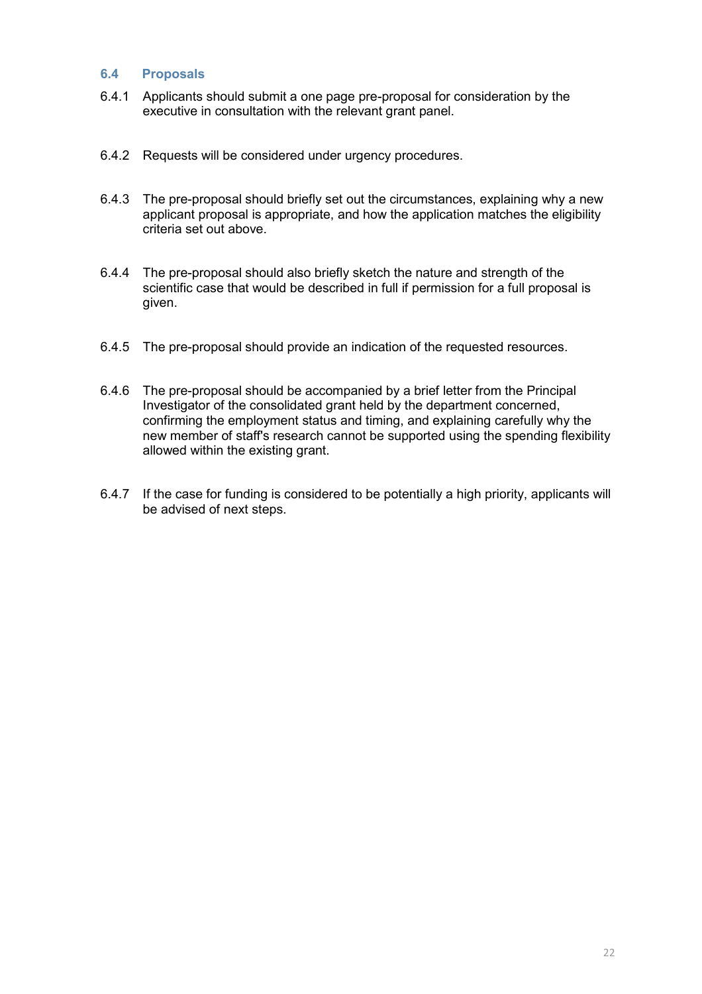#### <span id="page-23-0"></span>**6.4 Proposals**

- 6.4.1 Applicants should submit a one page pre-proposal for consideration by the executive in consultation with the relevant grant panel.
- 6.4.2 Requests will be considered under urgency procedures.
- 6.4.3 The pre-proposal should briefly set out the circumstances, explaining why a new applicant proposal is appropriate, and how the application matches the eligibility criteria set out above.
- 6.4.4 The pre-proposal should also briefly sketch the nature and strength of the scientific case that would be described in full if permission for a full proposal is given.
- 6.4.5 The pre-proposal should provide an indication of the requested resources.
- 6.4.6 The pre-proposal should be accompanied by a brief letter from the Principal Investigator of the consolidated grant held by the department concerned, confirming the employment status and timing, and explaining carefully why the new member of staff's research cannot be supported using the spending flexibility allowed within the existing grant.
- 6.4.7 If the case for funding is considered to be potentially a high priority, applicants will be advised of next steps.